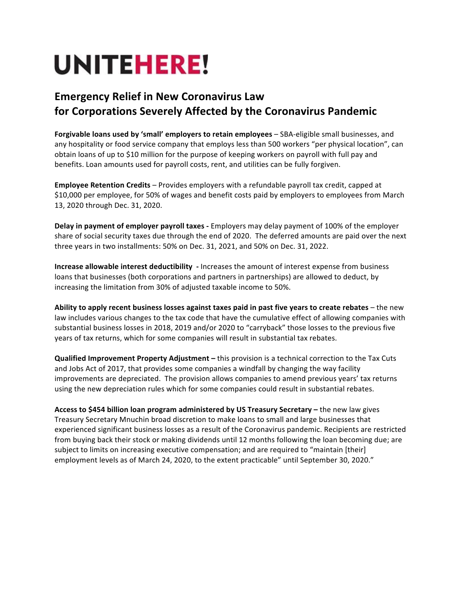## **UNITEHERE!**

## **Emergency Relief in New Coronavirus Law for Corporations Severely Affected by the Coronavirus Pandemic**

**Forgivable loans used by 'small' employers to retain employees** – SBA-eligible small businesses, and any hospitality or food service company that employs less than 500 workers "per physical location", can obtain loans of up to \$10 million for the purpose of keeping workers on payroll with full pay and benefits. Loan amounts used for payroll costs, rent, and utilities can be fully forgiven.

**Employee Retention Credits** – Provides employers with a refundable payroll tax credit, capped at \$10,000 per employee, for 50% of wages and benefit costs paid by employers to employees from March 13, 2020 through Dec. 31, 2020.

**Delay in payment of employer payroll taxes** - Employers may delay payment of 100% of the employer share of social security taxes due through the end of 2020. The deferred amounts are paid over the next three years in two installments: 50% on Dec. 31, 2021, and 50% on Dec. 31, 2022.

**Increase allowable interest deductibility** - Increases the amount of interest expense from business loans that businesses (both corporations and partners in partnerships) are allowed to deduct, by increasing the limitation from 30% of adjusted taxable income to 50%.

**Ability to apply recent business losses against taxes paid in past five years to create rebates** – the new law includes various changes to the tax code that have the cumulative effect of allowing companies with substantial business losses in 2018, 2019 and/or 2020 to "carryback" those losses to the previous five years of tax returns, which for some companies will result in substantial tax rebates.

**Qualified Improvement Property Adjustment** – this provision is a technical correction to the Tax Cuts and Jobs Act of 2017, that provides some companies a windfall by changing the way facility improvements are depreciated. The provision allows companies to amend previous years' tax returns using the new depreciation rules which for some companies could result in substantial rebates.

Access to \$454 billion loan program administered by US Treasury Secretary - the new law gives Treasury Secretary Mnuchin broad discretion to make loans to small and large businesses that experienced significant business losses as a result of the Coronavirus pandemic. Recipients are restricted from buying back their stock or making dividends until 12 months following the loan becoming due; are subject to limits on increasing executive compensation; and are required to "maintain [their] employment levels as of March 24, 2020, to the extent practicable" until September 30, 2020."